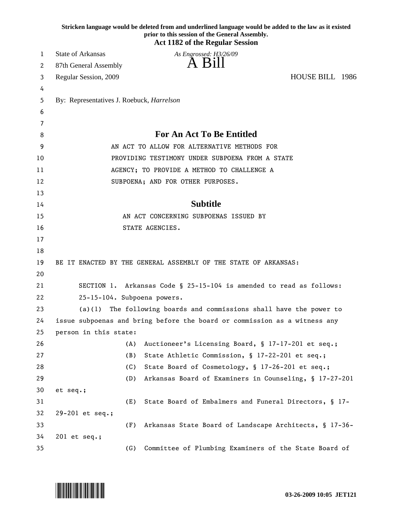|    |                                                                     |     | Stricken language would be deleted from and underlined language would be added to the law as it existed<br>prior to this session of the General Assembly. |                 |  |
|----|---------------------------------------------------------------------|-----|-----------------------------------------------------------------------------------------------------------------------------------------------------------|-----------------|--|
|    |                                                                     |     | <b>Act 1182 of the Regular Session</b>                                                                                                                    |                 |  |
| 1  | <b>State of Arkansas</b>                                            |     | As Engrossed: H3/26/09                                                                                                                                    |                 |  |
| 2  | 87th General Assembly                                               |     | A Bill                                                                                                                                                    |                 |  |
| 3  | Regular Session, 2009                                               |     |                                                                                                                                                           | HOUSE BILL 1986 |  |
| 4  |                                                                     |     |                                                                                                                                                           |                 |  |
| 5  | By: Representatives J. Roebuck, <i>Harrelson</i>                    |     |                                                                                                                                                           |                 |  |
| 6  |                                                                     |     |                                                                                                                                                           |                 |  |
| 7  |                                                                     |     |                                                                                                                                                           |                 |  |
| 8  | <b>For An Act To Be Entitled</b>                                    |     |                                                                                                                                                           |                 |  |
| 9  |                                                                     |     | AN ACT TO ALLOW FOR ALTERNATIVE METHODS FOR                                                                                                               |                 |  |
| 10 |                                                                     |     | PROVIDING TESTIMONY UNDER SUBPOENA FROM A STATE                                                                                                           |                 |  |
| 11 | AGENCY; TO PROVIDE A METHOD TO CHALLENGE A                          |     |                                                                                                                                                           |                 |  |
| 12 |                                                                     |     | SUBPOENA; AND FOR OTHER PURPOSES.                                                                                                                         |                 |  |
| 13 |                                                                     |     |                                                                                                                                                           |                 |  |
| 14 |                                                                     |     | <b>Subtitle</b>                                                                                                                                           |                 |  |
| 15 | AN ACT CONCERNING SUBPOENAS ISSUED BY                               |     |                                                                                                                                                           |                 |  |
| 16 |                                                                     |     | STATE AGENCIES.                                                                                                                                           |                 |  |
| 17 |                                                                     |     |                                                                                                                                                           |                 |  |
| 18 |                                                                     |     |                                                                                                                                                           |                 |  |
| 19 |                                                                     |     | BE IT ENACTED BY THE GENERAL ASSEMBLY OF THE STATE OF ARKANSAS:                                                                                           |                 |  |
| 20 |                                                                     |     |                                                                                                                                                           |                 |  |
| 21 | SECTION 1. Arkansas Code § 25-15-104 is amended to read as follows: |     |                                                                                                                                                           |                 |  |
| 22 | 25-15-104. Subpoena powers.                                         |     |                                                                                                                                                           |                 |  |
| 23 | (a)(1)                                                              |     | The following boards and commissions shall have the power to                                                                                              |                 |  |
| 24 |                                                                     |     | issue subpoenas and bring before the board or commission as a witness any                                                                                 |                 |  |
| 25 | person in this state:                                               |     |                                                                                                                                                           |                 |  |
| 26 |                                                                     | (A) | Auctioneer's Licensing Board, § 17-17-201 et seq.;                                                                                                        |                 |  |
| 27 |                                                                     | (B) | State Athletic Commission, § 17-22-201 et seq.;                                                                                                           |                 |  |
| 28 |                                                                     | (C) | State Board of Cosmetology, § 17-26-201 et seq.;                                                                                                          |                 |  |
| 29 |                                                                     | (D) | Arkansas Board of Examiners in Counseling, § 17-27-201                                                                                                    |                 |  |
| 30 | et seq.;                                                            |     |                                                                                                                                                           |                 |  |
| 31 |                                                                     | (E) | State Board of Embalmers and Funeral Directors, § 17-                                                                                                     |                 |  |
| 32 | 29-201 et seq.;                                                     |     |                                                                                                                                                           |                 |  |
| 33 |                                                                     | (F) | Arkansas State Board of Landscape Architects, § 17-36-                                                                                                    |                 |  |
| 34 | 201 et seq.;                                                        |     |                                                                                                                                                           |                 |  |
| 35 |                                                                     | (G) | Committee of Plumbing Examiners of the State Board of                                                                                                     |                 |  |

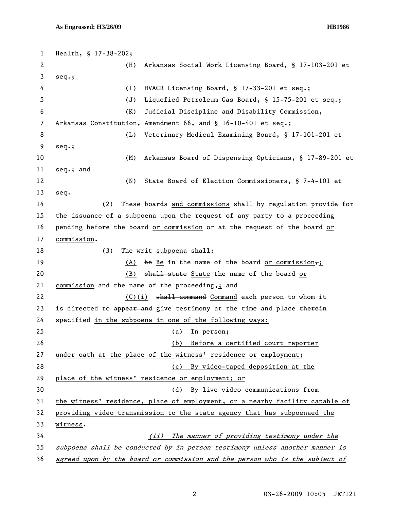1 Health, § 17-38-202; 2 (H) Arkansas Social Work Licensing Board, § 17-103-201 et 3 seq.; 4 (I) HVACR Licensing Board, § 17-33-201 et seq.; 5 (J) Liquefied Petroleum Gas Board, § 15-75-201 et seq.; 6 (K) Judicial Discipline and Disability Commission, 7 Arkansas Constitution, Amendment 66, and § 16-10-401 et seq.; 8 (L) Veterinary Medical Examining Board, § 17-101-201 et 9 seq.; 10 (M) Arkansas Board of Dispensing Opticians, § 17-89-201 et 11 seq.; and 12 (N) State Board of Election Commissioners, § 7-4-101 et 13 seq. 14 (2) These boards and commissions shall by regulation provide for 15 the issuance of a subpoena upon the request of any party to a proceeding 16 pending before the board or commission or at the request of the board or 17 commission. 18 (3) The writ subpoena shall: 19 (A) be Be in the name of the board or commission,; 20 (B) shall state State the name of the board or 21 commission and the name of the proceeding,; and 22 (C)(i) <del>shall command</del> Command each person to whom it 23 is directed to appear and give testimony at the time and place therein 24 specified in the subpoena in one of the following ways: 25 (a) In person; 26 (b) Before a certified court reporter 27 under oath at the place of the witness' residence or employment; 28 (c) By video-taped deposition at the 29 place of the witness' residence or employment; or 30 (d) By live video communications from 31 the witness' residence, place of employment, or a nearby facility capable of 32 providing video transmission to the state agency that has subpoenaed the 33 witness. 34 (ii) The manner of providing testimony under the 35 subpoena shall be conducted by in person testimony unless another manner is 36 agreed upon by the board or commission and the person who is the subject of